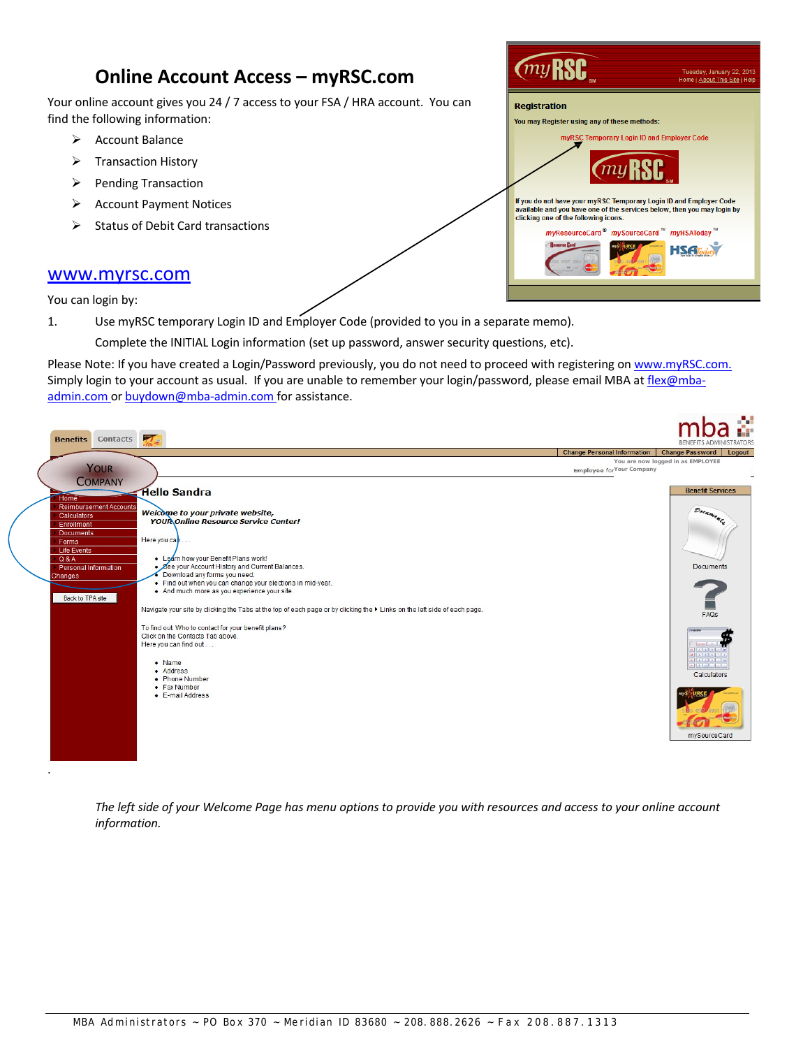# **Online Account Access – myRSC.com**

Your online account gives you 24 / 7 access to your FSA / HRA account. You can find the following information:

- $\triangleright$  Account Balance
- $\triangleright$  Transaction History
- $\triangleright$  Pending Transaction
- Account Payment Notices
- $\triangleright$  Status of Debit Card transactions



**Contract Contract Contract** 

 $\blacksquare$ 

www.myrsc.com

You can login by:

.

1. Use myRSC temporary Login ID and Employer Code (provided to you in a separate memo).

Complete the INITIAL Login information (set up password, answer security questions, etc).

Please Note: If you have created a Login/Password previously, you do not need to proceed with registering on www.myRSC.com. Simply login to your account as usual. If you are unable to remember your login/password, please email MBA at flex@mbaadmin.com or buydown@mba-admin.com for assistance.

| <b>Contacts</b><br><b>Benefits</b>                                                                                                                                                                 | $\frac{1}{10}$                                                                                                                                                                                                                                                                                                                                                                                                                                                                                                                                                           |                                                                | ÷<br><b>ISTRATORS</b><br><b>BENEFITS ADMIN</b>                                                                                                                                                                                                                                                                                                                                                                                                                                                                                         |
|----------------------------------------------------------------------------------------------------------------------------------------------------------------------------------------------------|--------------------------------------------------------------------------------------------------------------------------------------------------------------------------------------------------------------------------------------------------------------------------------------------------------------------------------------------------------------------------------------------------------------------------------------------------------------------------------------------------------------------------------------------------------------------------|----------------------------------------------------------------|----------------------------------------------------------------------------------------------------------------------------------------------------------------------------------------------------------------------------------------------------------------------------------------------------------------------------------------------------------------------------------------------------------------------------------------------------------------------------------------------------------------------------------------|
|                                                                                                                                                                                                    |                                                                                                                                                                                                                                                                                                                                                                                                                                                                                                                                                                          | <b>Change Personal Information</b>                             | <b>Change Password</b><br>Logout                                                                                                                                                                                                                                                                                                                                                                                                                                                                                                       |
| YOUR<br><b>COMPANY</b>                                                                                                                                                                             |                                                                                                                                                                                                                                                                                                                                                                                                                                                                                                                                                                          | You are now logged in as EMPLOYEE<br>Employee for Your Company |                                                                                                                                                                                                                                                                                                                                                                                                                                                                                                                                        |
| Home <sup>®</sup><br><b>Reimbursement Accounts</b><br>Calculators<br>Enrollment<br><b>Documents</b><br>Forms<br><b>Life Events</b><br>Q & A<br>Personal Information<br>Changes<br>Back to TPA site | <b>Hello Sandra</b><br>Welcome to your private website,<br><b>YOUR Online Resource Service Center!</b><br>Here you can<br>• Learn how your Benefit Plans work!<br>• See your Account History and Current Balances.<br>Download any forms you need.<br>. Find out when you can change your elections in mid-year.<br>. And much more as you experience your site.<br>Navigate your site by clicking the Tabs at the top of each page or by clicking the $\blacktriangleright$ Links on the left side of each page.<br>To find out: Who to contact for your benefit plans? |                                                                | <b>Benefit Services</b><br>Documenta<br>Documents<br>FAQs                                                                                                                                                                                                                                                                                                                                                                                                                                                                              |
|                                                                                                                                                                                                    | Click on the Contacts Tab above.<br>Here you can find out<br>$\bullet$ Name<br>• Address<br>• Phone Number<br>• Fax Number<br>• E-mail Address                                                                                                                                                                                                                                                                                                                                                                                                                           |                                                                | <b>T</b> Corpus<br>$ x  =  x  +  x  + 1$<br><b>ENDRE</b><br>$\left[\frac{1}{2} \ln \left( \frac{1}{2} \ln \left( \frac{1}{2} \ln \left( \frac{1}{2} \ln \left( \frac{1}{2} \ln \left( \frac{1}{2} \ln \left( \frac{1}{2} \ln \left( \frac{1}{2} \ln \left( \frac{1}{2} \ln \left( \frac{1}{2} \ln \left( \frac{1}{2} \ln \left( \frac{1}{2} \ln \left( \frac{1}{2} \ln \left( \frac{1}{2} \ln \left( \frac{1}{2} \ln \left( \frac{1}{2} \ln \left( \frac{1}{2} \ln \left( \frac{1}{2} \ln \left( \frac$<br>Calculators<br>mySourceCard |

The left side of your Welcome Page has menu options to provide you with resources and access to your online account *information.*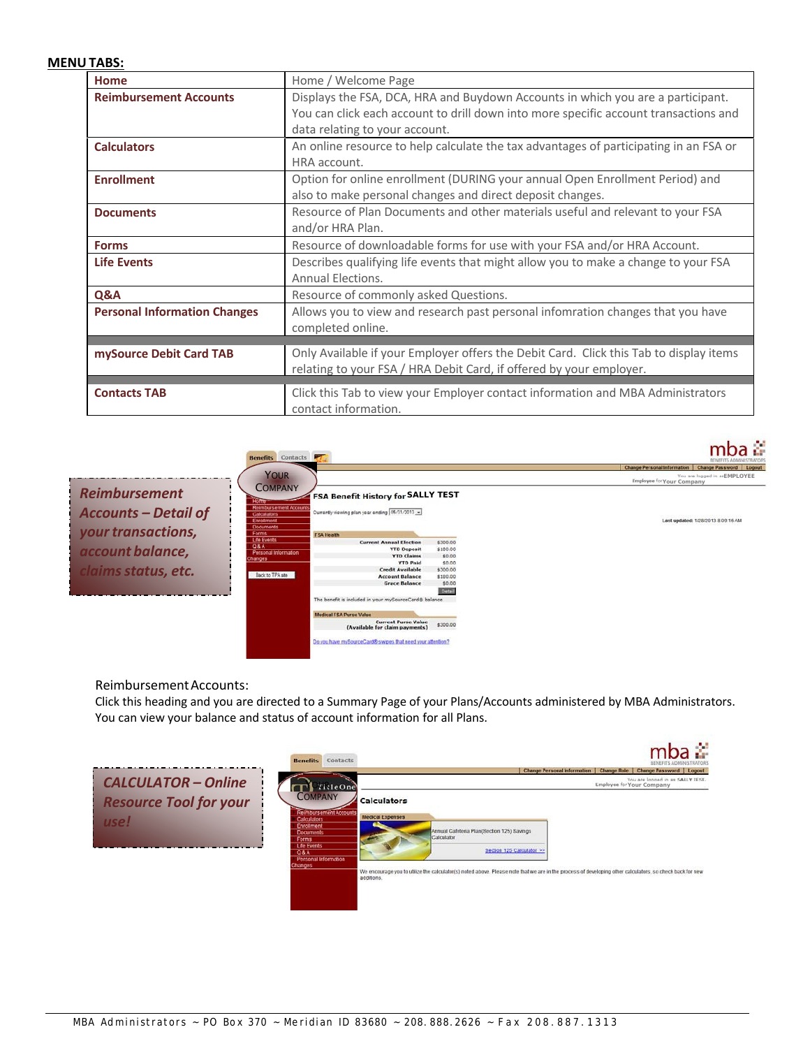### **MENU TABS:**

| Home                                | Home / Welcome Page                                                                    |
|-------------------------------------|----------------------------------------------------------------------------------------|
| <b>Reimbursement Accounts</b>       | Displays the FSA, DCA, HRA and Buydown Accounts in which you are a participant.        |
|                                     | You can click each account to drill down into more specific account transactions and   |
|                                     | data relating to your account.                                                         |
| <b>Calculators</b>                  | An online resource to help calculate the tax advantages of participating in an FSA or  |
|                                     | HRA account.                                                                           |
| <b>Enrollment</b>                   | Option for online enrollment (DURING your annual Open Enrollment Period) and           |
|                                     | also to make personal changes and direct deposit changes.                              |
| <b>Documents</b>                    | Resource of Plan Documents and other materials useful and relevant to your FSA         |
|                                     | and/or HRA Plan.                                                                       |
| <b>Forms</b>                        | Resource of downloadable forms for use with your FSA and/or HRA Account.               |
| <b>Life Events</b>                  | Describes qualifying life events that might allow you to make a change to your FSA     |
|                                     | Annual Elections.                                                                      |
| Q&A                                 | Resource of commonly asked Questions.                                                  |
| <b>Personal Information Changes</b> | Allows you to view and research past personal infomration changes that you have        |
|                                     | completed online.                                                                      |
|                                     |                                                                                        |
| mySource Debit Card TAB             | Only Available if your Employer offers the Debit Card. Click this Tab to display items |
|                                     | relating to your FSA / HRA Debit Card, if offered by your employer.                    |
| <b>Contacts TAB</b>                 | Click this Tab to view your Employer contact information and MBA Administrators        |
|                                     | contact information.                                                                   |



Reimbursement Accounts:

Click this heading and you are directed to a Summary Page of your Plans/Accounts administered by MBA Administrators. You can view your balance and status of account information for all Plans.

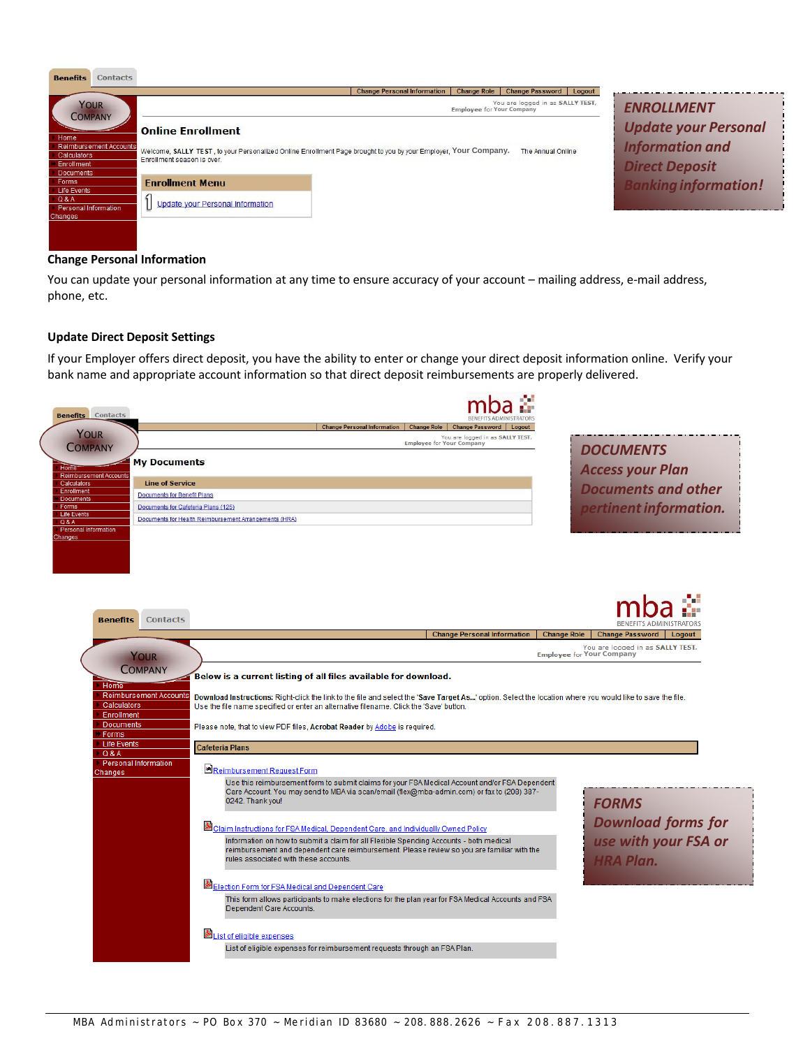

#### **Change Personal Information**

You can update your personal information at any time to ensure accuracy of your account – mailing address, e‐mail address, phone, etc.

#### **Update Direct Deposit Settings**

If your Employer offers direct deposit, you have the ability to enter or change your direct deposit information online. Verify your bank name and appropriate account information so that direct deposit reimbursements are properly delivered.